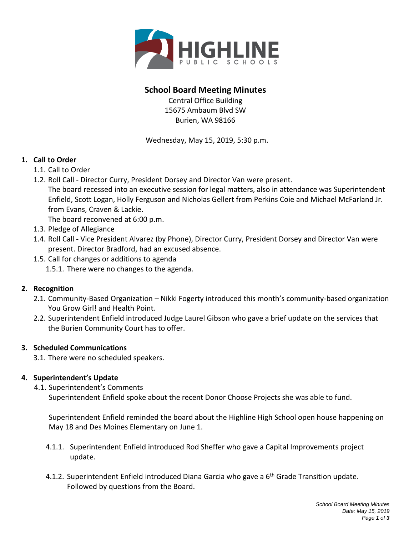

# **School Board Meeting Minutes**

Central Office Building 15675 Ambaum Blvd SW Burien, WA 98166

#### Wednesday, May 15, 2019, 5:30 p.m.

## **1. Call to Order**

- 1.1. Call to Order
- 1.2. Roll Call Director Curry, President Dorsey and Director Van were present. The board recessed into an executive session for legal matters, also in attendance was Superintendent Enfield, Scott Logan, Holly Ferguson and Nicholas Gellert from Perkins Coie and Michael McFarland Jr. from Evans, Craven & Lackie.

The board reconvened at 6:00 p.m.

- 1.3. Pledge of Allegiance
- 1.4. Roll Call Vice President Alvarez (by Phone), Director Curry, President Dorsey and Director Van were present. Director Bradford, had an excused absence.
- 1.5. Call for changes or additions to agenda
	- 1.5.1. There were no changes to the agenda.

## **2. Recognition**

- 2.1. Community-Based Organization Nikki Fogerty introduced this month's community-based organization You Grow Girl! and Health Point.
- 2.2. Superintendent Enfield introduced Judge Laurel Gibson who gave a brief update on the services that the Burien Community Court has to offer.

#### **3. Scheduled Communications**

3.1. There were no scheduled speakers.

## **4. Superintendent's Update**

4.1. Superintendent's Comments

Superintendent Enfield spoke about the recent Donor Choose Projects she was able to fund.

Superintendent Enfield reminded the board about the Highline High School open house happening on May 18 and Des Moines Elementary on June 1.

- 4.1.1. Superintendent Enfield introduced Rod Sheffer who gave a Capital Improvements project update.
- 4.1.2. Superintendent Enfield introduced Diana Garcia who gave a 6<sup>th</sup> Grade Transition update. Followed by questions from the Board.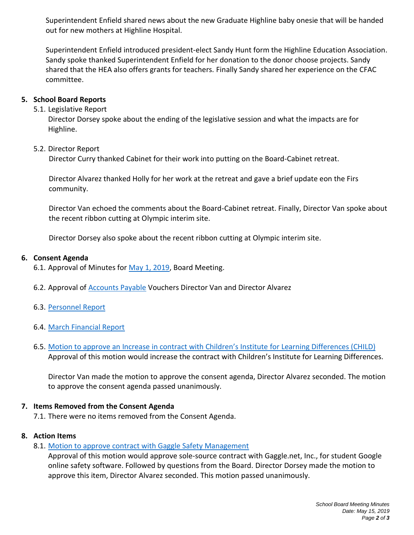Superintendent Enfield shared news about the new Graduate Highline baby onesie that will be handed out for new mothers at Highline Hospital.

Superintendent Enfield introduced president-elect Sandy Hunt form the Highline Education Association. Sandy spoke thanked Superintendent Enfield for her donation to the donor choose projects. Sandy shared that the HEA also offers grants for teachers. Finally Sandy shared her experience on the CFAC committee.

#### **5. School Board Reports**

## 5.1. Legislative Report

Director Dorsey spoke about the ending of the legislative session and what the impacts are for Highline.

#### 5.2. Director Report

Director Curry thanked Cabinet for their work into putting on the Board-Cabinet retreat.

Director Alvarez thanked Holly for her work at the retreat and gave a brief update eon the Firs community.

Director Van echoed the comments about the Board-Cabinet retreat. Finally, Director Van spoke about the recent ribbon cutting at Olympic interim site.

Director Dorsey also spoke about the recent ribbon cutting at Olympic interim site.

#### **6. Consent Agenda**

6.1. Approval of Minutes for [May 1, 2019,](https://resources.finalsite.net/images/v1557341373/highlineschoolsorg/hsgwtndylgej3vp2wkcl/2019_05_01_Minutes.pdf) Board Meeting.

6.2. Approval of **Accounts Payable Vouchers Director Van and Director Alvarez** 

- 6.3. [Personnel Report](https://resources.finalsite.net/images/v1557342701/highlineschoolsorg/cn7ctrgqfmhf26owbkfi/2019-05-15PersonnelMattersReport.pdf)
- 6.4. [March Financial Report](https://resources.finalsite.net/images/v1557341160/highlineschoolsorg/pyedao5tj7e3ykwemsoj/March2019FinancialReport.pdf)
- 6.5. [Motion to approve an Increase in](https://resources.finalsite.net/images/v1556124700/highlineschoolsorg/wzyzty3cxtnyjsriswyl/CHILDPOIncrease.pdf) contract with Children's Institute for Learning Differences (CHILD) Approval of this motion would increase the contract with Children's Institute for Learning Differences.

Director Van made the motion to approve the consent agenda, Director Alvarez seconded. The motion to approve the consent agenda passed unanimously.

#### **7. Items Removed from the Consent Agenda**

7.1. There were no items removed from the Consent Agenda.

#### **8. Action Items**

8.1. [Motion to approve contract with Gaggle Safety Management](https://resources.finalsite.net/images/v1556126767/highlineschoolsorg/mm5ulkgaz17t9zhmunpv/Gaggle.pdf)

Approval of this motion would approve sole-source contract with Gaggle.net, Inc., for student Google online safety software. Followed by questions from the Board. Director Dorsey made the motion to approve this item, Director Alvarez seconded. This motion passed unanimously.